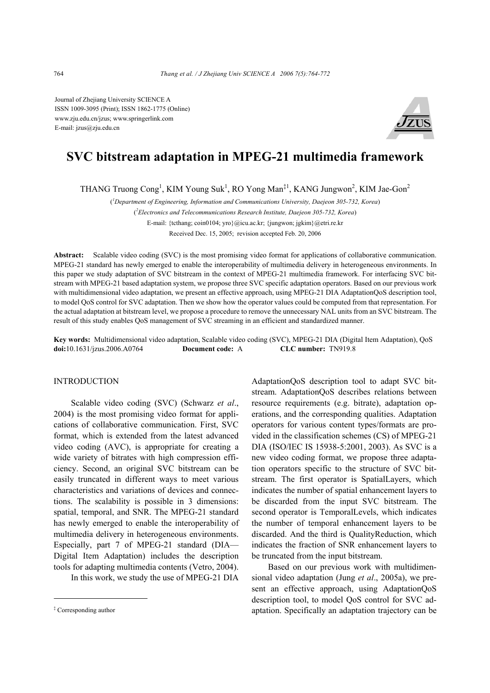Journal of Zhejiang University SCIENCE A ISSN 1009-3095 (Print); ISSN 1862-1775 (Online) www.zju.edu.cn/jzus; www.springerlink.com E-mail: jzus@zju.edu.cn



# **SVC bitstream adaptation in MPEG-21 multimedia framework**

THANG Truong Cong<sup>1</sup>, KIM Young Suk<sup>1</sup>, RO Yong Man<sup>‡1</sup>, KANG Jungwon<sup>2</sup>, KIM Jae-Gon<sup>2</sup>

( *1 Department of Engineering, Information and Communications University, Daejeon 305-732, Korea*)

( *2 Electronics and Telecommunications Research Institute, Daejeon 305-732, Korea*)

E-mail: {tcthang; coin0104; yro}@icu.ac.kr; {jungwon; jgkim}@etri.re.kr

Received Dec. 15, 2005; revision accepted Feb. 20, 2006

**Abstract:** Scalable video coding (SVC) is the most promising video format for applications of collaborative communication. MPEG-21 standard has newly emerged to enable the interoperability of multimedia delivery in heterogeneous environments. In this paper we study adaptation of SVC bitstream in the context of MPEG-21 multimedia framework. For interfacing SVC bitstream with MPEG-21 based adaptation system, we propose three SVC specific adaptation operators. Based on our previous work with multidimensional video adaptation, we present an effective approach, using MPEG-21 DIA AdaptationQoS description tool, to model QoS control for SVC adaptation. Then we show how the operator values could be computed from that representation. For the actual adaptation at bitstream level, we propose a procedure to remove the unnecessary NAL units from an SVC bitstream. The result of this study enables QoS management of SVC streaming in an efficient and standardized manner.

**Key words:** Multidimensional video adaptation, Scalable video coding (SVC), MPEG-21 DIA (Digital Item Adaptation), QoS **doi:**10.1631/jzus.2006.A0764 **Document code:** A **CLC number:** TN919.8

#### INTRODUCTION

Scalable video coding (SVC) (Schwarz *et al*., 2004) is the most promising video format for applications of collaborative communication. First, SVC format, which is extended from the latest advanced video coding (AVC), is appropriate for creating a wide variety of bitrates with high compression efficiency. Second, an original SVC bitstream can be easily truncated in different ways to meet various characteristics and variations of devices and connections. The scalability is possible in 3 dimensions: spatial, temporal, and SNR. The MPEG-21 standard has newly emerged to enable the interoperability of multimedia delivery in heterogeneous environments. Especially, part 7 of MPEG-21 standard (DIA— Digital Item Adaptation) includes the description tools for adapting multimedia contents (Vetro, 2004).

In this work, we study the use of MPEG-21 DIA

AdaptationQoS description tool to adapt SVC bitstream. AdaptationQoS describes relations between resource requirements (e.g. bitrate), adaptation operations, and the corresponding qualities. Adaptation operators for various content types/formats are provided in the classification schemes (CS) of MPEG-21 DIA (ISO/IEC IS 15938-5:2001, 2003). As SVC is a new video coding format, we propose three adaptation operators specific to the structure of SVC bitstream. The first operator is SpatialLayers, which indicates the number of spatial enhancement layers to be discarded from the input SVC bitstream. The second operator is TemporalLevels, which indicates the number of temporal enhancement layers to be discarded. And the third is QualityReduction, which indicates the fraction of SNR enhancement layers to be truncated from the input bitstream.

Based on our previous work with multidimensional video adaptation (Jung *et al*., 2005a), we present an effective approach, using AdaptationQoS description tool, to model QoS control for SVC adaptation. Specifically an adaptation trajectory can be

<sup>‡</sup> Corresponding author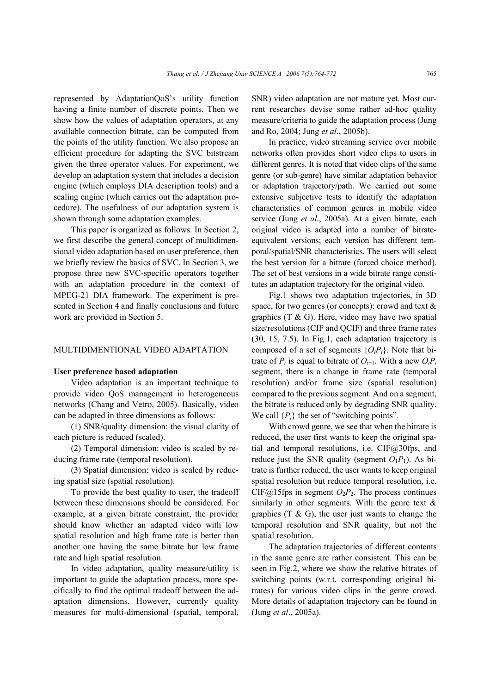represented by AdaptationQoS's utility function having a finite number of discrete points. Then we show how the values of adaptation operators, at any available connection bitrate, can be computed from the points of the utility function. We also propose an efficient procedure for adapting the SVC bitstream given the three operator values. For experiment, we develop an adaptation system that includes a decision engine (which employs DIA description tools) and a scaling engine (which carries out the adaptation procedure). The usefulness of our adaptation system is shown through some adaptation examples.

This paper is organized as follows. In Section 2, we first describe the general concept of multidimensional video adaptation based on user preference, then we briefly review the basics of SVC. In Section 3, we propose three new SVC-specific operators together with an adaptation procedure in the context of MPEG-21 DIA framework. The experiment is presented in Section 4 and finally conclusions and future work are provided in Section 5.

# MULTIDIMENTIONAL VIDEO ADAPTATION

#### **User preference based adaptation**

Video adaptation is an important technique to provide video QoS management in heterogeneous networks (Chang and Vetro, 2005). Basically, video can be adapted in three dimensions as follows:

(1) SNR/quality dimension: the visual clarity of each picture is reduced (scaled).

(2) Temporal dimension: video is scaled by reducing frame rate (temporal resolution).

(3) Spatial dimension: video is scaled by reducing spatial size (spatial resolution).

To provide the best quality to user, the tradeoff between these dimensions should be considered. For example, at a given bitrate constraint, the provider should know whether an adapted video with low spatial resolution and high frame rate is better than another one having the same bitrate but low frame rate and high spatial resolution.

In video adaptation, quality measure/utility is important to guide the adaptation process, more specifically to find the optimal tradeoff between the adaptation dimensions. However, currently quality measures for multi-dimensional (spatial, temporal,

SNR) video adaptation are not mature yet. Most current researches devise some rather ad-hoc quality measure/criteria to guide the adaptation process (Jung and Ro, 2004; Jung *et al*., 2005b).

In practice, video streaming service over mobile networks often provides short video clips to users in different genres. It is noted that video clips of the same genre (or sub-genre) have similar adaptation behavior or adaptation trajectory/path. We carried out some extensive subjective tests to identify the adaptation characteristics of common genres in mobile video service (Jung *et al*., 2005a). At a given bitrate, each original video is adapted into a number of bitrateequivalent versions; each version has different temporal/spatial/SNR characteristics. The users will select the best version for a bitrate (forced choice method). The set of best versions in a wide bitrate range constitutes an adaptation trajectory for the original video.

Fig.1 shows two adaptation trajectories, in 3D space, for two genres (or concepts): crowd and text & graphics  $(T & G)$ . Here, video may have two spatial size/resolutions (CIF and QCIF) and three frame rates (30, 15, 7.5). In Fig.1, each adaptation trajectory is composed of a set of segments {*OiPi*}. Note that bitrate of  $P_i$  is equal to bitrate of  $O_{i+1}$ . With a new  $O_i P_i$ segment, there is a change in frame rate (temporal resolution) and/or frame size (spatial resolution) compared to the previous segment. And on a segment, the bitrate is reduced only by degrading SNR quality. We call  $\{P_i\}$  the set of "switching points".

With crowd genre, we see that when the bitrate is reduced, the user first wants to keep the original spatial and temporal resolutions, i.e. CIF@30fps, and reduce just the SNR quality (segment  $O_1P_1$ ). As bitrate is further reduced, the user wants to keep original spatial resolution but reduce temporal resolution, i.e. CIF@15fps in segment  $O_2P_2$ . The process continues similarly in other segments. With the genre text  $\&$ graphics  $(T \& G)$ , the user just wants to change the temporal resolution and SNR quality, but not the spatial resolution.

The adaptation trajectories of different contents in the same genre are rather consistent. This can be seen in Fig.2, where we show the relative bitrates of switching points (w.r.t. corresponding original bitrates) for various video clips in the genre crowd. More details of adaptation trajectory can be found in (Jung *et al*., 2005a).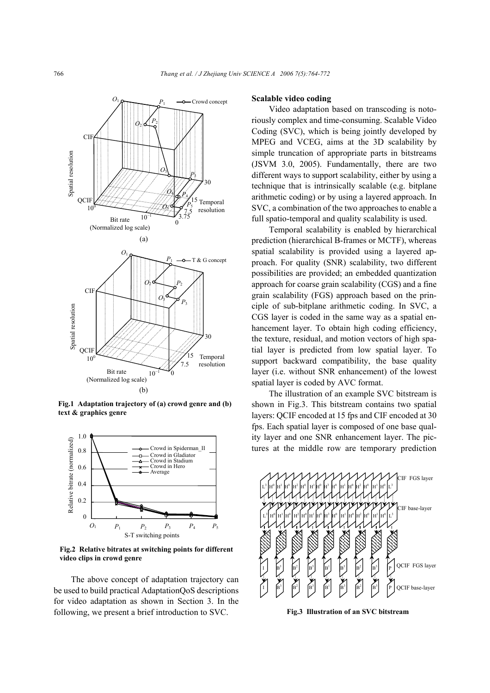

**Fig.1 Adaptation trajectory of (a) crowd genre and (b) text & graphics genre**



**Fig.2 Relative bitrates at switching points for different video clips in crowd genre**

The above concept of adaptation trajectory can be used to build practical AdaptationQoS descriptions for video adaptation as shown in Section 3. In the following, we present a brief introduction to SVC.

#### **Scalable video coding**

Video adaptation based on transcoding is notoriously complex and time-consuming. Scalable Video Coding (SVC), which is being jointly developed by MPEG and VCEG, aims at the 3D scalability by simple truncation of appropriate parts in bitstreams (JSVM 3.0, 2005). Fundamentally, there are two different ways to support scalability, either by using a technique that is intrinsically scalable (e.g. bitplane arithmetic coding) or by using a layered approach. In SVC, a combination of the two approaches to enable a full spatio-temporal and quality scalability is used.

Temporal scalability is enabled by hierarchical prediction (hierarchical B-frames or MCTF), whereas spatial scalability is provided using a layered approach. For quality (SNR) scalability, two different possibilities are provided; an embedded quantization approach for coarse grain scalability (CGS) and a fine grain scalability (FGS) approach based on the principle of sub-bitplane arithmetic coding. In SVC, a CGS layer is coded in the same way as a spatial enhancement layer. To obtain high coding efficiency, the texture, residual, and motion vectors of high spatial layer is predicted from low spatial layer. To support backward compatibility, the base quality layer (i.e. without SNR enhancement) of the lowest spatial layer is coded by AVC format.

The illustration of an example SVC bitstream is shown in Fig.3. This bitstream contains two spatial layers: QCIF encoded at 15 fps and CIF encoded at 30 fps. Each spatial layer is composed of one base quality layer and one SNR enhancement layer. The pictures at the middle row are temporary prediction

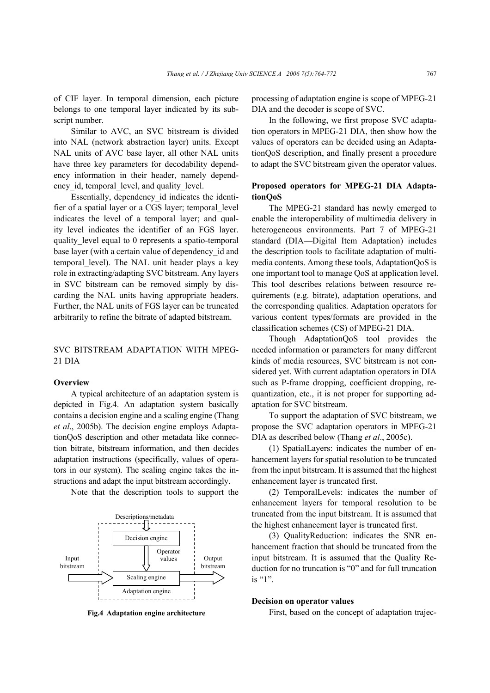of CIF layer. In temporal dimension, each picture belongs to one temporal layer indicated by its subscript number.

Similar to AVC, an SVC bitstream is divided into NAL (network abstraction layer) units. Except NAL units of AVC base layer, all other NAL units have three key parameters for decodability dependency information in their header, namely dependency id, temporal level, and quality level.

Essentially, dependency\_id indicates the identifier of a spatial layer or a CGS layer; temporal\_level indicates the level of a temporal layer; and quality level indicates the identifier of an FGS layer. quality\_level equal to 0 represents a spatio-temporal base layer (with a certain value of dependency id and temporal level). The NAL unit header plays a key role in extracting/adapting SVC bitstream. Any layers in SVC bitstream can be removed simply by discarding the NAL units having appropriate headers. Further, the NAL units of FGS layer can be truncated arbitrarily to refine the bitrate of adapted bitstream.

# SVC BITSTREAM ADAPTATION WITH MPEG-21 DIA

#### **Overview**

A typical architecture of an adaptation system is depicted in Fig.4. An adaptation system basically contains a decision engine and a scaling engine (Thang *et al*., 2005b). The decision engine employs AdaptationQoS description and other metadata like connection bitrate, bitstream information, and then decides adaptation instructions (specifically, values of operators in our system). The scaling engine takes the instructions and adapt the input bitstream accordingly.

Note that the description tools to support the



**Fig.4 Adaptation engine architecture**

processing of adaptation engine is scope of MPEG-21 DIA and the decoder is scope of SVC.

In the following, we first propose SVC adaptation operators in MPEG-21 DIA, then show how the values of operators can be decided using an AdaptationQoS description, and finally present a procedure to adapt the SVC bitstream given the operator values.

# **Proposed operators for MPEG-21 DIA AdaptationQoS**

The MPEG-21 standard has newly emerged to enable the interoperability of multimedia delivery in heterogeneous environments. Part 7 of MPEG-21 standard (DIA—Digital Item Adaptation) includes the description tools to facilitate adaptation of multimedia contents. Among these tools, AdaptationQoS is one important tool to manage QoS at application level. This tool describes relations between resource requirements (e.g. bitrate), adaptation operations, and the corresponding qualities. Adaptation operators for various content types/formats are provided in the classification schemes (CS) of MPEG-21 DIA.

Though AdaptationQoS tool provides the needed information or parameters for many different kinds of media resources, SVC bitstream is not considered yet. With current adaptation operators in DIA such as P-frame dropping, coefficient dropping, requantization, etc., it is not proper for supporting adaptation for SVC bitstream.

To support the adaptation of SVC bitstream, we propose the SVC adaptation operators in MPEG-21 DIA as described below (Thang *et al*., 2005c).

(1) SpatialLayers: indicates the number of enhancement layers for spatial resolution to be truncated from the input bitstream. It is assumed that the highest enhancement layer is truncated first.

(2) TemporalLevels: indicates the number of enhancement layers for temporal resolution to be truncated from the input bitstream. It is assumed that the highest enhancement layer is truncated first.

(3) QualityReduction: indicates the SNR enhancement fraction that should be truncated from the input bitstream. It is assumed that the Quality Reduction for no truncation is "0" and for full truncation is "1".

#### **Decision on operator values**

First, based on the concept of adaptation trajec-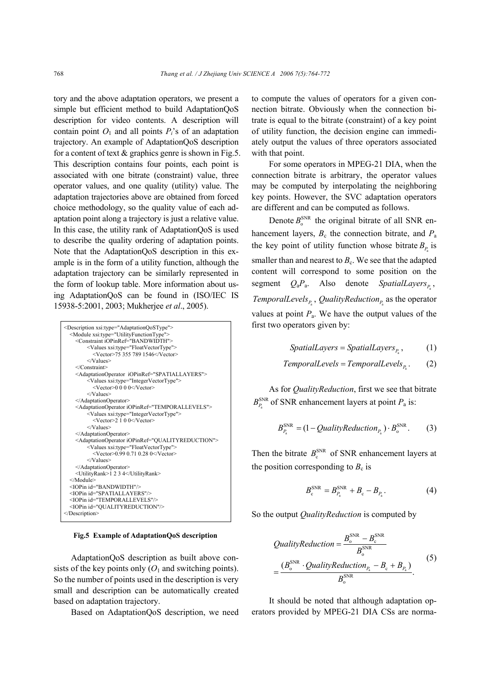tory and the above adaptation operators, we present a simple but efficient method to build AdaptationQoS description for video contents. A description will contain point  $O_1$  and all points  $P_i$ 's of an adaptation trajectory. An example of AdaptationQoS description for a content of text  $&$  graphics genre is shown in Fig.5. This description contains four points, each point is associated with one bitrate (constraint) value, three operator values, and one quality (utility) value. The adaptation trajectories above are obtained from forced choice methodology, so the quality value of each adaptation point along a trajectory is just a relative value. In this case, the utility rank of AdaptationQoS is used to describe the quality ordering of adaptation points. Note that the AdaptationQoS description in this example is in the form of a utility function, although the adaptation trajectory can be similarly represented in the form of lookup table. More information about using AdaptationQoS can be found in (ISO/IEC IS 15938-5:2001, 2003; Mukherjee *et al*., 2005).

| <description xsi:type="AdaptationOoSType"><br/><module xsi:type="UtilityFunctionType"><br/><constraint iopinref="BANDWIDTH"><br/><values xsi:type="FloatVectorType"><br/><vector>75 355 789 1546</vector><br/></values><br/></constraint></module></description> |
|------------------------------------------------------------------------------------------------------------------------------------------------------------------------------------------------------------------------------------------------------------------|
| <adaptationoperator iopinref="SPATIALLAYERS"></adaptationoperator>                                                                                                                                                                                               |
| <values xsi:type="IntegerVectorType"></values>                                                                                                                                                                                                                   |
| <vector>0.0.0.0</vector>                                                                                                                                                                                                                                         |
| $\langle$ /Values>                                                                                                                                                                                                                                               |
|                                                                                                                                                                                                                                                                  |
| <adaptationoperator iopinref="TEMPORALLEVELS"></adaptationoperator>                                                                                                                                                                                              |
| <values xsi:type="IntegerVectorType"></values>                                                                                                                                                                                                                   |
| <vector>2.1.0.0</vector>                                                                                                                                                                                                                                         |
| $\langle$ Values $>$                                                                                                                                                                                                                                             |
|                                                                                                                                                                                                                                                                  |
| <adaptationoperator iopinref="QUALITYREDUCTION"></adaptationoperator>                                                                                                                                                                                            |
| <values xsi:type="FloatVectorType"></values>                                                                                                                                                                                                                     |
| $\leq$ Vector $\geq$ 0.99 0.71 0.28 0 $\leq$ /Vector $\geq$                                                                                                                                                                                                      |
| $\langle$ /Values>                                                                                                                                                                                                                                               |
|                                                                                                                                                                                                                                                                  |
| <utilityrank>1 2 3 4</utilityrank>                                                                                                                                                                                                                               |
| $<$ /Module>                                                                                                                                                                                                                                                     |
| <iopin id="BANDWIDTH"></iopin>                                                                                                                                                                                                                                   |
| <iopin id="SPATIALLAYERS"></iopin>                                                                                                                                                                                                                               |
| <iopin id="TEMPORALLEVELS"></iopin>                                                                                                                                                                                                                              |
| <iopin id="OUALITYREDUCTION"></iopin>                                                                                                                                                                                                                            |
| $<$ /Description>                                                                                                                                                                                                                                                |

**Fig.5 Example of AdaptationQoS description**

AdaptationQoS description as built above consists of the key points only  $(O_1$  and switching points). So the number of points used in the description is very small and description can be automatically created based on adaptation trajectory.

Based on AdaptationQoS description, we need

to compute the values of operators for a given connection bitrate. Obviously when the connection bitrate is equal to the bitrate (constraint) of a key point of utility function, the decision engine can immediately output the values of three operators associated with that point.

For some operators in MPEG-21 DIA, when the connection bitrate is arbitrary, the operator values may be computed by interpolating the neighboring key points. However, the SVC adaptation operators are different and can be computed as follows.

Denote  $B_0^{\text{SNR}}$  the original bitrate of all SNR enhancement layers,  $B_c$  the connection bitrate, and  $P_a$ the key point of utility function whose bitrate  $B<sub>p</sub>$  is smaller than and nearest to  $B<sub>c</sub>$ . We see that the adapted content will correspond to some position on the segment  $Q_a P_a$ . Also denote *SpatialLayers*<sub> $P_a$ </sub>, *TemporalLevels*<sub> $P_{\rm a}$ , *QualityReduction*<sub> $P_{\rm a}$ </sub> as the operator</sub> values at point  $P_a$ . We have the output values of the first two operators given by:

$$
SpatialLayers = SpatialLayers_{P_a}, \qquad (1)
$$

$$
Temporal Levels = Temporal Levels_{P_a}.\qquad(2)
$$

As for *QualityReduction*, first we see that bitrate  $B_{P_{\rm a}}^{\rm SNR}$  of SNR enhancement layers at point  $P_{\rm a}$  is:

$$
B_{P_a}^{\text{SNR}} = (1 - QualityReduction_{P_a}) \cdot B_o^{\text{SNR}}.
$$
 (3)

Then the bitrate  $B_{c}^{SNR}$  of SNR enhancement layers at the position corresponding to  $B_c$  is

$$
B_{c}^{SNR} = B_{P_a}^{SNR} + B_c - B_{P_a}.
$$
 (4)

So the output *QualityReduction* is computed by

$$
QualityReduction = \frac{B_o^{SNR} - B_c^{SNR}}{B_o^{SNR}}
$$
  
= 
$$
\frac{(B_o^{SNR} \cdot QualityReduction_{P_a} - B_c + B_{P_a})}{B_o^{SNR}}.
$$
 (5)

It should be noted that although adaptation operators provided by MPEG-21 DIA CSs are norma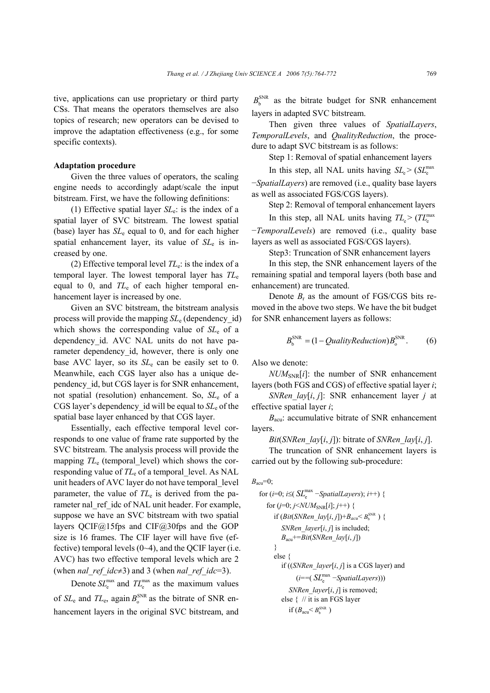tive, applications can use proprietary or third party CSs. That means the operators themselves are also topics of research; new operators can be devised to improve the adaptation effectiveness (e.g., for some specific contexts).

## **Adaptation procedure**

Given the three values of operators, the scaling engine needs to accordingly adapt/scale the input bitstream. First, we have the following definitions:

(1) Effective spatial layer *SL*e: is the index of a spatial layer of SVC bitstream. The lowest spatial (base) layer has  $SL<sub>e</sub>$  equal to 0, and for each higher spatial enhancement layer, its value of *SL*e is increased by one.

(2) Effective temporal level  $TL<sub>e</sub>$ : is the index of a temporal layer. The lowest temporal layer has *TL*<sup>e</sup> equal to 0, and  $TL_e$  of each higher temporal enhancement layer is increased by one.

Given an SVC bitstream, the bitstream analysis process will provide the mapping *SL*e (dependency\_id) which shows the corresponding value of *SL*e of a dependency id. AVC NAL units do not have parameter dependency id, however, there is only one base AVC layer, so its *SL*e can be easily set to 0. Meanwhile, each CGS layer also has a unique dependency\_id, but CGS layer is for SNR enhancement, not spatial (resolution) enhancement. So, *SL*e of a CGS layer's dependency\_id will be equal to *SL*e of the spatial base layer enhanced by that CGS layer.

Essentially, each effective temporal level corresponds to one value of frame rate supported by the SVC bitstream. The analysis process will provide the mapping  $TL_e$  (temporal level) which shows the corresponding value of *TL*e of a temporal\_level. As NAL unit headers of AVC layer do not have temporal\_level parameter, the value of  $TL<sub>e</sub>$  is derived from the parameter nal\_ref\_idc of NAL unit header. For example, suppose we have an SVC bitstream with two spatial layers QCIF@15fps and CIF@30fps and the GOP size is 16 frames. The CIF layer will have five (effective) temporal levels  $(0-4)$ , and the QCIF layer (i.e. AVC) has two effective temporal levels which are 2 (when *nal ref idc*≠3) and 3 (when *nal ref idc*=3).

Denote  $SL_e^{\text{max}}$  and  $TL_e^{\text{max}}$  as the maximum values of  $SL_e$  and  $TL_e$ , again  $B_0^{\text{SNR}}$  as the bitrate of SNR enhancement layers in the original SVC bitstream, and

 $B<sub>b</sub><sup>SNR</sup>$  as the bitrate budget for SNR enhancement layers in adapted SVC bitstream.

Then given three values of *SpatialLayers*, *TemporalLevels*, and *QualityReduction*, the procedure to adapt SVC bitstream is as follows:

Step 1: Removal of spatial enhancement layers

In this step, all NAL units having  $SL_{\epsilon}$  > ( $SL_{\epsilon}$ <sup>max</sup>) −*SpatialLayers*) are removed (i.e., quality base layers

as well as associated FGS/CGS layers).

Step 2: Removal of temporal enhancement layers In this step, all NAL units having  $TL \ge (TL_{\sim}^{max})$ 

−*TemporalLevels*) are removed (i.e., quality base layers as well as associated FGS/CGS layers).

Step3: Truncation of SNR enhancement layers

In this step, the SNR enhancement layers of the remaining spatial and temporal layers (both base and enhancement) are truncated.

Denote  $B_r$  as the amount of FGS/CGS bits removed in the above two steps. We have the bit budget for SNR enhancement layers as follows:

$$
B_b^{\text{SNR}} = (1 - QualityReduction)B_o^{\text{SNR}}.
$$
 (6)

Also we denote:

 $NUM_{SNR}[i]$ : the number of SNR enhancement layers (both FGS and CGS) of effective spatial layer *i*;

*SNRen\_lay*[*i*, *j*]: SNR enhancement layer *j* at effective spatial layer *i*;

 $B_{\text{acu}}$ : accumulative bitrate of SNR enhancement layers.

*Bit*(*SNRen\_lay*[*i*, *j*]): bitrate of *SNRen\_lay*[*i*, *j*].

The truncation of SNR enhancement layers is carried out by the following sub-procedure:

$$
B_{\text{acu}}=0;
$$

for (*i*=0; *i*≤(
$$
SL_e^{\text{max}} -
$$
SpatialLayers); *i*++) {  
for (*j*=0; *j*≤*NUM*<sub>SNR</sub>[*i*]; *j*++) {  
if (*Bit(SNRen\_Lay[i, j])*+ $B_{acci}$ ≤ $B_b^{\text{SNR}}$ ) {  
*SNRen\_Layer[i, j]* is included;  
 $B_{acu}$ +=*Bit(SNRen\_Lay[i, j])*  
}  
else {  
if ((*SNRen\_Layer[i, j]* is a CGS layer) and  
(*i*==( $SL_e^{\text{max}}$ −*SpatialLayers*)))  
*SNRen\_Layer[i, j]* is removed;  
else { // it is an FGS layer  
if ( $B_{acu}$ ≤ $B_b^{\text{SNR}}$ )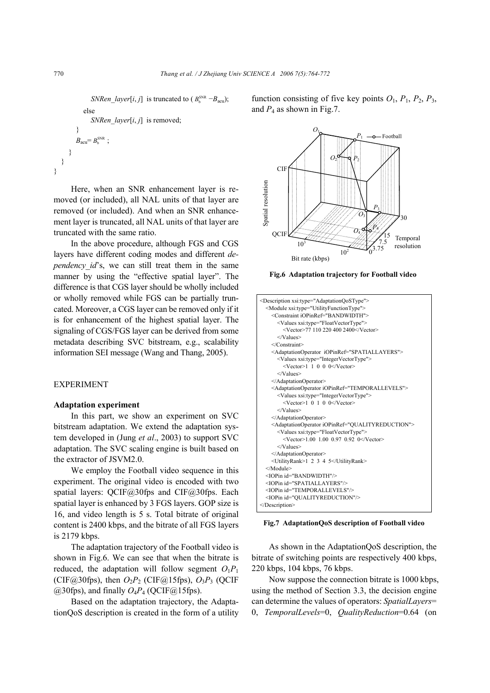*SNRen\_layer*[ $i$ ,  $j$ ] is truncated to ( $B_h^{\text{SNR}} - B_{\text{acu}}$ ); else *SNRen\_layer*[*i*, *j*] is removed; }  $B_{\text{acu}} = B_{\text{b}}^{\text{SNR}}$ :

} } }

Here, when an SNR enhancement layer is removed (or included), all NAL units of that layer are removed (or included). And when an SNR enhancement layer is truncated, all NAL units of that layer are truncated with the same ratio.

In the above procedure, although FGS and CGS layers have different coding modes and different *dependency id*'s, we can still treat them in the same manner by using the "effective spatial layer". The difference is that CGS layer should be wholly included or wholly removed while FGS can be partially truncated. Moreover, a CGS layer can be removed only if it is for enhancement of the highest spatial layer. The signaling of CGS/FGS layer can be derived from some metadata describing SVC bitstream, e.g., scalability information SEI message (Wang and Thang, 2005).

# EXPERIMENT

## **Adaptation experiment**

In this part, we show an experiment on SVC bitstream adaptation. We extend the adaptation system developed in (Jung *et al*., 2003) to support SVC adaptation. The SVC scaling engine is built based on the extractor of JSVM2.0.

We employ the Football video sequence in this experiment. The original video is encoded with two spatial layers: QCIF@30fps and CIF@30fps. Each spatial layer is enhanced by 3 FGS layers. GOP size is 16, and video length is 5 s. Total bitrate of original content is 2400 kbps, and the bitrate of all FGS layers is 2179 kbps.

The adaptation trajectory of the Football video is shown in Fig.6. We can see that when the bitrate is reduced, the adaptation will follow segment  $O_1P_1$ (CIF@30fps), then  $O_2P_2$  (CIF@15fps),  $O_3P_3$  (QCIF)  $(a)$ 30fps), and finally  $O_4P_4$  (OCIF $(a)$ 15fps).

Based on the adaptation trajectory, the AdaptationQoS description is created in the form of a utility function consisting of five key points  $O_1$ ,  $P_1$ ,  $P_2$ ,  $P_3$ , and  $P_4$  as shown in Fig.7.



**Fig.6 Adaptation trajectory for Football video**



**Fig.7 AdaptationQoS description of Football video**

As shown in the AdaptationQoS description, the bitrate of switching points are respectively 400 kbps, 220 kbps, 104 kbps, 76 kbps.

Now suppose the connection bitrate is 1000 kbps, using the method of Section 3.3, the decision engine can determine the values of operators: *SpatialLayers*= 0, *TemporalLevels*=0, *QualityReduction*=0.64 (on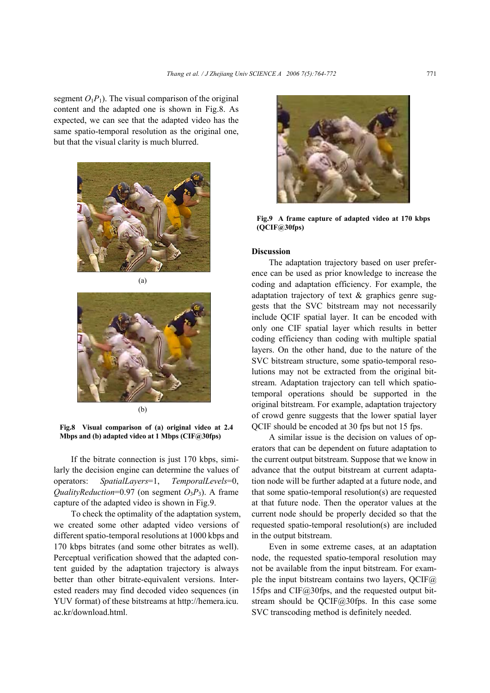segment  $O_1P_1$ ). The visual comparison of the original content and the adapted one is shown in Fig.8. As expected, we can see that the adapted video has the same spatio-temporal resolution as the original one, but that the visual clarity is much blurred.





**Fig.8 Visual comparison of (a) original video at 2.4 Mbps and (b) adapted video at 1 Mbps (CIF@30fps)**

If the bitrate connection is just 170 kbps, similarly the decision engine can determine the values of operators: *SpatialLayers*=1, *TemporalLevels*=0, *QualityReduction*=0.97 (on segment  $O_3P_3$ ). A frame capture of the adapted video is shown in Fig.9.

To check the optimality of the adaptation system, we created some other adapted video versions of different spatio-temporal resolutions at 1000 kbps and 170 kbps bitrates (and some other bitrates as well). Perceptual verification showed that the adapted content guided by the adaptation trajectory is always better than other bitrate-equivalent versions. Interested readers may find decoded video sequences (in YUV format) of these bitstreams at http://hemera.icu. ac.kr/download.html.



**Fig.9 A frame capture of adapted video at 170 kbps (QCIF@30fps)**

### **Discussion**

The adaptation trajectory based on user preference can be used as prior knowledge to increase the coding and adaptation efficiency. For example, the adaptation trajectory of text & graphics genre suggests that the SVC bitstream may not necessarily include QCIF spatial layer. It can be encoded with only one CIF spatial layer which results in better coding efficiency than coding with multiple spatial layers. On the other hand, due to the nature of the SVC bitstream structure, some spatio-temporal resolutions may not be extracted from the original bitstream. Adaptation trajectory can tell which spatiotemporal operations should be supported in the original bitstream. For example, adaptation trajectory of crowd genre suggests that the lower spatial layer QCIF should be encoded at 30 fps but not 15 fps.

A similar issue is the decision on values of operators that can be dependent on future adaptation to the current output bitstream. Suppose that we know in advance that the output bitstream at current adaptation node will be further adapted at a future node, and that some spatio-temporal resolution(s) are requested at that future node. Then the operator values at the current node should be properly decided so that the requested spatio-temporal resolution(s) are included in the output bitstream.

Even in some extreme cases, at an adaptation node, the requested spatio-temporal resolution may not be available from the input bitstream. For example the input bitstream contains two layers,  $QCIF(\hat{a})$ 15fps and CIF $@30$ fps, and the requested output bitstream should be QCIF@30fps. In this case some SVC transcoding method is definitely needed.